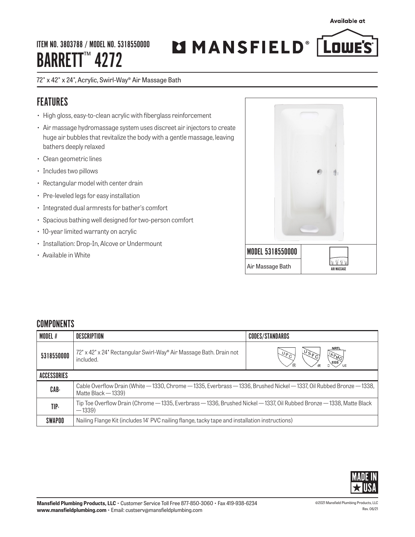ITEM NO. 3803788 / MODEL NO. 5318550000 BARRETT<sup>™</sup> 4272

# MMANSFIELD<sup>®</sup> LowE'S

72" x 42" x 24", Acrylic, Swirl-Way® Air Massage Bath

## FEATURES

- High gloss, easy-to-clean acrylic with fiberglass reinforcement
- Air massage hydromassage system uses discreet air injectors to create huge air bubbles that revitalize the body with a gentle massage, leaving bathers deeply relaxed
- Clean geometric lines
- Includes two pillows
- Rectangular model with center drain
- Pre-leveled legs for easy installation
- Integrated dual armrests for bather's comfort
- Spacious bathing well designed for two-person comfort
- 10-year limited warranty on acrylic
- Installation: Drop-In, Alcove or Undermount
- Available in White



## **COMPONENTS**

| MODEL #       | DESCRIPTION                                                                                                                                  | <b>CODES/STANDARDS</b> |  |
|---------------|----------------------------------------------------------------------------------------------------------------------------------------------|------------------------|--|
| 5318550000    | 72' x 42' x 24' Rectangular Swirl-Way® Air Massage Bath. Drain not<br>included.                                                              | <b>NRTL</b>            |  |
| ACCESSORIES   |                                                                                                                                              |                        |  |
| CAB-          | Cable Overflow Drain (White – 1330, Chrome – 1335, Everbrass – 1336, Brushed Nickel – 1337, Oil Rubbed Bronze – 1338,<br>Matte Black - 1339) |                        |  |
| TIP-          | Tip Toe Overflow Drain (Chrome — 1335, Everbrass — 1336, Brushed Nickel — 1337, Oil Rubbed Bronze — 1338, Matte Black<br>$-1339$             |                        |  |
| <b>SWAPOO</b> | Nailing Flange Kit (includes 14' PVC nailing flange, tacky tape and installation instructions)                                               |                        |  |